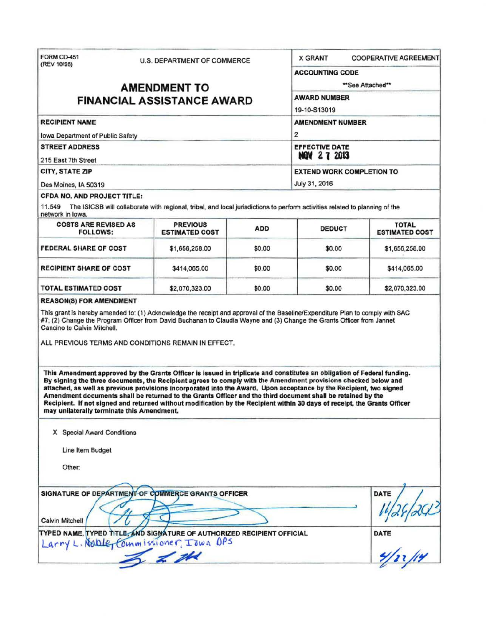| (REV 10/98)                                                                                                                                                                                                                                                                                                                                                                                                  | <b>U.S. DEPARTMENT OF COMMERCE</b>                                                       |            | <b>X GRANT</b>                             | <b>COOPERATIVE AGREEMENT</b>          |  |
|--------------------------------------------------------------------------------------------------------------------------------------------------------------------------------------------------------------------------------------------------------------------------------------------------------------------------------------------------------------------------------------------------------------|------------------------------------------------------------------------------------------|------------|--------------------------------------------|---------------------------------------|--|
|                                                                                                                                                                                                                                                                                                                                                                                                              |                                                                                          |            | <b>ACCOUNTING CODE</b><br>**See Attached** |                                       |  |
|                                                                                                                                                                                                                                                                                                                                                                                                              | <b>AMENDMENT TO</b>                                                                      |            |                                            |                                       |  |
| <b>FINANCIAL ASSISTANCE AWARD</b>                                                                                                                                                                                                                                                                                                                                                                            | <b>AWARD NUMBER</b><br>19-10-S13019                                                      |            |                                            |                                       |  |
|                                                                                                                                                                                                                                                                                                                                                                                                              |                                                                                          |            |                                            |                                       |  |
| <b>RECIPIENT NAME</b>                                                                                                                                                                                                                                                                                                                                                                                        | <b>AMENDMENT NUMBER</b><br>$\overline{2}$<br><b>EFFECTIVE DATE</b><br><b>NOV 27 2013</b> |            |                                            |                                       |  |
| Iowa Department of Public Safety                                                                                                                                                                                                                                                                                                                                                                             |                                                                                          |            |                                            |                                       |  |
| <b>STREET ADDRESS</b><br>215 East 7th Street                                                                                                                                                                                                                                                                                                                                                                 |                                                                                          |            |                                            |                                       |  |
| CITY, STATE ZIP                                                                                                                                                                                                                                                                                                                                                                                              |                                                                                          |            | <b>EXTEND WORK COMPLETION TO</b>           |                                       |  |
| Des Moines, IA 50319                                                                                                                                                                                                                                                                                                                                                                                         |                                                                                          |            | July 31, 2016                              |                                       |  |
| <b>CFDA NO. AND PROJECT TITLE:</b>                                                                                                                                                                                                                                                                                                                                                                           |                                                                                          |            |                                            |                                       |  |
| 11.549 The ISICSB will collaborate with regional, tribal, and local jurisdictions to perform activities related to planning of the<br>network in lowa.                                                                                                                                                                                                                                                       |                                                                                          |            |                                            |                                       |  |
| <b>COSTS ARE REVISED AS</b><br><b>FOLLOWS:</b>                                                                                                                                                                                                                                                                                                                                                               | <b>PREVIOUS</b><br><b>ESTIMATED COST</b>                                                 | <b>ADD</b> | <b>DEDUCT</b>                              | <b>TOTAL</b><br><b>ESTIMATED COST</b> |  |
| <b>FEDERAL SHARE OF COST</b>                                                                                                                                                                                                                                                                                                                                                                                 | \$1,656,258.00                                                                           | \$0.00     | \$0.00                                     | \$1,656,258.00                        |  |
| <b>RECIPIENT SHARE OF COST</b>                                                                                                                                                                                                                                                                                                                                                                               | \$414,065.00                                                                             | \$0.00     | \$0.00                                     | \$414,065.00                          |  |
| <b>TOTAL ESTIMATED COST</b>                                                                                                                                                                                                                                                                                                                                                                                  | \$2,070,323.00                                                                           | \$0.00     | \$0.00                                     | \$2,070,323.00                        |  |
| ALL PREVIOUS TERMS AND CONDITIONS REMAIN IN EFFECT.                                                                                                                                                                                                                                                                                                                                                          |                                                                                          |            |                                            |                                       |  |
| This Amendment approved by the Grants Officer is issued in triplicate and constitutes an obligation of Federal funding.<br>By signing the three documents, the Recipient agrees to comply with the Amendment provisions checked below and                                                                                                                                                                    |                                                                                          |            |                                            |                                       |  |
| attached, as well as previous provisions incorporated into the Award. Upon acceptance by the Recipient, two signed<br>Amendment documents shall be returned to the Grants Officer and the third document shall be retained by the<br>Recipient. If not signed and returned without modification by the Recipient within 30 days of receipt, the Grants Officer<br>may unilaterally terminate this Amendment. |                                                                                          |            |                                            |                                       |  |
| X Special Award Conditions                                                                                                                                                                                                                                                                                                                                                                                   |                                                                                          |            |                                            |                                       |  |
| Line Item Budget                                                                                                                                                                                                                                                                                                                                                                                             |                                                                                          |            |                                            |                                       |  |
| Other:                                                                                                                                                                                                                                                                                                                                                                                                       |                                                                                          |            |                                            |                                       |  |
|                                                                                                                                                                                                                                                                                                                                                                                                              |                                                                                          |            |                                            |                                       |  |
| SIGNATURE OF DEPARTMENT OF COMMERCE GRANTS OFFICER                                                                                                                                                                                                                                                                                                                                                           |                                                                                          |            |                                            | <b>DATE</b>                           |  |
| <b>Calvin Mitchell</b><br>TYPED NAME, TYPED TITLE, AND SIGNATURE OF AUTHORIZED RECIPIENT OFFICIAL<br>Larry L. Noble, Commissioner, Iowa OPS                                                                                                                                                                                                                                                                  |                                                                                          |            |                                            | DATE                                  |  |

 $\leq$   $\frac{1}{2}$   $\frac{1}{2}$   $\frac{1}{2}$   $\frac{1}{2}$   $\frac{1}{2}$   $\frac{1}{2}$   $\frac{1}{2}$   $\frac{1}{2}$   $\frac{1}{2}$   $\frac{1}{2}$   $\frac{1}{2}$   $\frac{1}{2}$   $\frac{1}{2}$   $\frac{1}{2}$   $\frac{1}{2}$   $\frac{1}{2}$   $\frac{1}{2}$   $\frac{1}{2}$   $\frac{1}{2}$   $\frac{1}{2}$   $\frac{1}{2}$   $\frac{1$